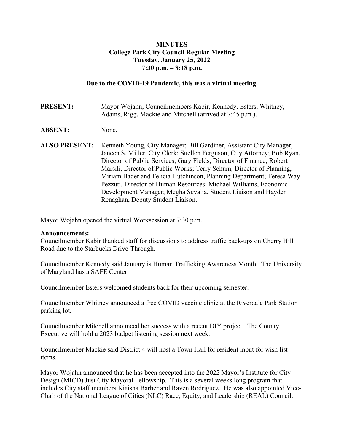## **MINUTES College Park City Council Regular Meeting Tuesday, January 25, 2022 7:30 p.m. – 8:18 p.m.**

### **Due to the COVID-19 Pandemic, this was a virtual meeting.**

**PRESENT:** Mayor Wojahn; Councilmembers Kabir, Kennedy, Esters, Whitney, Adams, Rigg, Mackie and Mitchell (arrived at 7:45 p.m.).

#### **ABSENT:** None.

**ALSO PRESENT:** Kenneth Young, City Manager; Bill Gardiner, Assistant City Manager; Janeen S. Miller, City Clerk; Suellen Ferguson, City Attorney; Bob Ryan, Director of Public Services; Gary Fields, Director of Finance; Robert Marsili, Director of Public Works; Terry Schum, Director of Planning, Miriam Bader and Felicia Hutchinson, Planning Department; Teresa Way-Pezzuti, Director of Human Resources; Michael Williams, Economic Development Manager; Megha Sevalia, Student Liaison and Hayden Renaghan, Deputy Student Liaison.

Mayor Wojahn opened the virtual Worksession at 7:30 p.m.

#### **Announcements:**

Councilmember Kabir thanked staff for discussions to address traffic back-ups on Cherry Hill Road due to the Starbucks Drive-Through.

Councilmember Kennedy said January is Human Trafficking Awareness Month. The University of Maryland has a SAFE Center.

Councilmember Esters welcomed students back for their upcoming semester.

Councilmember Whitney announced a free COVID vaccine clinic at the Riverdale Park Station parking lot.

Councilmember Mitchell announced her success with a recent DIY project. The County Executive will hold a 2023 budget listening session next week.

Councilmember Mackie said District 4 will host a Town Hall for resident input for wish list items.

Mayor Wojahn announced that he has been accepted into the 2022 Mayor's Institute for City Design (MICD) Just City Mayoral Fellowship. This is a several weeks long program that includes City staff members Kiaisha Barber and Raven Rodriguez. He was also appointed Vice-Chair of the National League of Cities (NLC) Race, Equity, and Leadership (REAL) Council.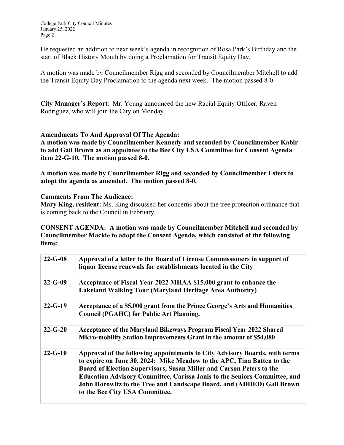College Park City Council Minutes January 25, 2022 Page 2

He requested an addition to next week's agenda in recognition of Rosa Park's Birthday and the start of Black History Month by doing a Proclamation for Transit Equity Day.

A motion was made by Councilmember Rigg and seconded by Councilmember Mitchell to add the Transit Equity Day Proclamation to the agenda next week. The motion passed 8-0.

**City Manager's Report**: Mr. Young announced the new Racial Equity Officer, Raven Rodriguez, who will join the City on Monday.

## **Amendments To And Approval Of The Agenda:**

**A motion was made by Councilmember Kennedy and seconded by Councilmember Kabir to add Gail Brown as an appointee to the Bee City USA Committee for Consent Agenda item 22-G-10. The motion passed 8-0.** 

**A motion was made by Councilmember Rigg and seconded by Councilmember Esters to adopt the agenda as amended. The motion passed 8-0.** 

#### **Comments From The Audience:**

**Mary King, resident:** Ms. King discussed her concerns about the tree protection ordinance that is coming back to the Council in February.

**CONSENT AGENDA: A motion was made by Councilmember Mitchell and seconded by Councilmember Mackie to adopt the Consent Agenda, which consisted of the following items:** 

| $22 - G - 08$ | Approval of a letter to the Board of License Commissioners in support of<br>liquor license renewals for establishments located in the City                                                                                                                                                                                                                                                                                  |
|---------------|-----------------------------------------------------------------------------------------------------------------------------------------------------------------------------------------------------------------------------------------------------------------------------------------------------------------------------------------------------------------------------------------------------------------------------|
| $22 - G - 09$ | Acceptance of Fiscal Year 2022 MHAA \$15,000 grant to enhance the<br><b>Lakeland Walking Tour (Maryland Heritage Area Authority)</b>                                                                                                                                                                                                                                                                                        |
| $22 - G - 19$ | Acceptance of a \$5,000 grant from the Prince George's Arts and Humanities<br><b>Council (PGAHC) for Public Art Planning.</b>                                                                                                                                                                                                                                                                                               |
| $22 - G - 20$ | Acceptance of the Maryland Bikeways Program Fiscal Year 2022 Shared<br>Micro-mobility Station Improvements Grant in the amount of \$54,080                                                                                                                                                                                                                                                                                  |
| $22 - G - 10$ | Approval of the following appointments to City Advisory Boards, with terms<br>to expire on June 30, 2024: Mike Meadow to the APC, Tina Batten to the<br>Board of Election Supervisors, Susan Miller and Carson Peters to the<br><b>Education Advisory Committee, Carissa Janis to the Seniors Committee, and</b><br>John Horowitz to the Tree and Landscape Board, and (ADDED) Gail Brown<br>to the Bee City USA Committee. |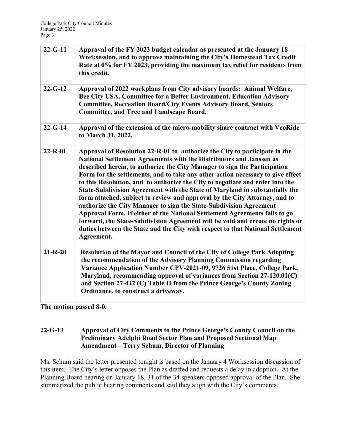| $22 - G - 11$ | Approval of the FY 2023 budget calendar as presented at the January 18<br>Worksession, and to approve maintaining the City's Homestead Tax Credit<br>Rate at 0% for FY 2023, providing the maximum tax relief for residents from<br>this credit.                                                                                                                                                                                                                                                                                                                                                                                                                                                                                                                                                                                                                                                     |
|---------------|------------------------------------------------------------------------------------------------------------------------------------------------------------------------------------------------------------------------------------------------------------------------------------------------------------------------------------------------------------------------------------------------------------------------------------------------------------------------------------------------------------------------------------------------------------------------------------------------------------------------------------------------------------------------------------------------------------------------------------------------------------------------------------------------------------------------------------------------------------------------------------------------------|
| $22 - G - 12$ | Approval of 2022 workplans from City advisory boards: Animal Welfare,<br>Bee City USA, Committee for a Better Environment, Education Advisory<br><b>Committee, Recreation Board/City Events Advisory Board, Seniors</b><br><b>Committee, and Tree and Landscape Board.</b>                                                                                                                                                                                                                                                                                                                                                                                                                                                                                                                                                                                                                           |
| $22 - G - 14$ | Approval of the extension of the micro-mobility share contract with VeoRide<br>to March 31, 2022.                                                                                                                                                                                                                                                                                                                                                                                                                                                                                                                                                                                                                                                                                                                                                                                                    |
| $22 - R - 01$ | Approval of Resolution 22-R-01 to authorize the City to participate in the<br>National Settlement Agreements with the Distributors and Janssen as<br>described herein, to authorize the City Manager to sign the Participation<br>Form for the settlements, and to take any other action necessary to give effect<br>to this Resolution, and to authorize the City to negotiate and enter into the<br>State-Subdivision Agreement with the State of Maryland in substantially the<br>form attached, subject to review and approval by the City Attorney, and to<br>authorize the City Manager to sign the State-Subdivision Agreement<br>Approval Form. If either of the National Settlement Agreements fails to go<br>forward, the State-Subdivision Agreement will be void and create no rights or<br>duties between the State and the City with respect to that National Settlement<br>Agreement. |
| $21 - R - 20$ | Resolution of the Mayor and Council of the City of College Park Adopting<br>the recommendation of the Advisory Planning Commission regarding<br>Variance Application Number CPV-2021-09, 9726 51st Place, College Park,<br>Maryland, recommending approval of variances from Section 27-120.01(C)<br>and Section 27-442 (C) Table II from the Prince George's County Zoning<br>Ordinance, to construct a driveway.                                                                                                                                                                                                                                                                                                                                                                                                                                                                                   |

**The motion passed 8-0.** 

## **22-G-13 Approval of City Comments to the Prince George's County Council on the Preliminary Adelphi Road Sector Plan and Proposed Sectional Map Amendment – Terry Schum, Director of Planning**

Ms. Schum said the letter presented tonight is based on the January 4 Worksession discussion of this item. The City's letter opposes the Plan as drafted and requests a delay in adoption. At the Planning Board hearing on January 18, 31 of the 34 speakers opposed approval of the Plan. She summarized the public hearing comments and said they align with the City's comments.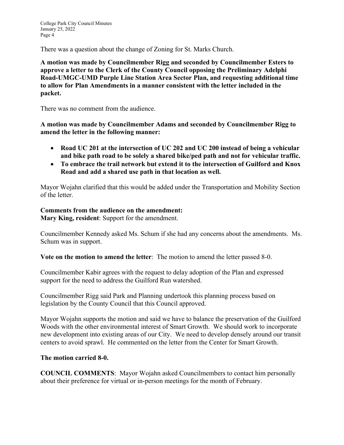There was a question about the change of Zoning for St. Marks Church.

**A motion was made by Councilmember Rigg and seconded by Councilmember Esters to approve a letter to the Clerk of the County Council opposing the Preliminary Adelphi Road-UMGC-UMD Purple Line Station Area Sector Plan, and requesting additional time to allow for Plan Amendments in a manner consistent with the letter included in the packet.** 

There was no comment from the audience.

**A motion was made by Councilmember Adams and seconded by Councilmember Rigg to amend the letter in the following manner:** 

- **Road UC 201 at the intersection of UC 202 and UC 200 instead of being a vehicular and bike path road to be solely a shared bike/ped path and not for vehicular traffic.**
- **To embrace the trail network but extend it to the intersection of Guilford and Knox Road and add a shared use path in that location as well.**

Mayor Wojahn clarified that this would be added under the Transportation and Mobility Section of the letter.

# **Comments from the audience on the amendment:**

**Mary King, resident**: Support for the amendment.

Councilmember Kennedy asked Ms. Schum if she had any concerns about the amendments. Ms. Schum was in support.

**Vote on the motion to amend the letter**: The motion to amend the letter passed 8-0.

Councilmember Kabir agrees with the request to delay adoption of the Plan and expressed support for the need to address the Guilford Run watershed.

Councilmember Rigg said Park and Planning undertook this planning process based on legislation by the County Council that this Council approved.

Mayor Wojahn supports the motion and said we have to balance the preservation of the Guilford Woods with the other environmental interest of Smart Growth. We should work to incorporate new development into existing areas of our City. We need to develop densely around our transit centers to avoid sprawl. He commented on the letter from the Center for Smart Growth.

#### **The motion carried 8-0.**

**COUNCIL COMMENTS**: Mayor Wojahn asked Councilmembers to contact him personally about their preference for virtual or in-person meetings for the month of February.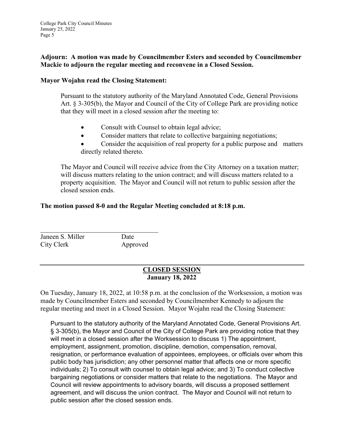College Park City Council Minutes January 25, 2022 Page 5

## **Adjourn: A motion was made by Councilmember Esters and seconded by Councilmember Mackie to adjourn the regular meeting and reconvene in a Closed Session.**

### **Mayor Wojahn read the Closing Statement:**

Pursuant to the statutory authority of the Maryland Annotated Code, General Provisions Art. § 3-305(b), the Mayor and Council of the City of College Park are providing notice that they will meet in a closed session after the meeting to:

- Consult with Counsel to obtain legal advice;
- Consider matters that relate to collective bargaining negotiations;
- Consider the acquisition of real property for a public purpose and matters directly related thereto.

The Mayor and Council will receive advice from the City Attorney on a taxation matter; will discuss matters relating to the union contract; and will discuss matters related to a property acquisition. The Mayor and Council will not return to public session after the closed session ends.

# **The motion passed 8-0 and the Regular Meeting concluded at 8:18 p.m.**

Janeen S. Miller Date City Clerk Approved

# **CLOSED SESSION January 18, 2022**

On Tuesday, January 18, 2022, at 10:58 p.m. at the conclusion of the Worksession, a motion was made by Councilmember Esters and seconded by Councilmember Kennedy to adjourn the regular meeting and meet in a Closed Session. Mayor Wojahn read the Closing Statement:

Pursuant to the statutory authority of the Maryland Annotated Code, General Provisions Art. § 3-305(b), the Mayor and Council of the City of College Park are providing notice that they will meet in a closed session after the Worksession to discuss 1) The appointment, employment, assignment, promotion, discipline, demotion, compensation, removal, resignation, or performance evaluation of appointees, employees, or officials over whom this public body has jurisdiction; any other personnel matter that affects one or more specific individuals; 2) To consult with counsel to obtain legal advice; and 3) To conduct collective bargaining negotiations or consider matters that relate to the negotiations. The Mayor and Council will review appointments to advisory boards, will discuss a proposed settlement agreement, and will discuss the union contract. The Mayor and Council will not return to public session after the closed session ends.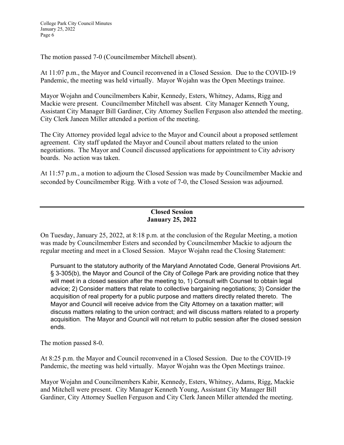The motion passed 7-0 (Councilmember Mitchell absent).

At 11:07 p.m., the Mayor and Council reconvened in a Closed Session. Due to the COVID-19 Pandemic, the meeting was held virtually. Mayor Wojahn was the Open Meetings trainee.

Mayor Wojahn and Councilmembers Kabir, Kennedy, Esters, Whitney, Adams, Rigg and Mackie were present. Councilmember Mitchell was absent. City Manager Kenneth Young, Assistant City Manager Bill Gardiner, City Attorney Suellen Ferguson also attended the meeting. City Clerk Janeen Miller attended a portion of the meeting.

The City Attorney provided legal advice to the Mayor and Council about a proposed settlement agreement. City staff updated the Mayor and Council about matters related to the union negotiations. The Mayor and Council discussed applications for appointment to City advisory boards. No action was taken.

At 11:57 p.m., a motion to adjourn the Closed Session was made by Councilmember Mackie and seconded by Councilmember Rigg. With a vote of 7-0, the Closed Session was adjourned.

# **Closed Session January 25, 2022**

On Tuesday, January 25, 2022, at 8:18 p.m. at the conclusion of the Regular Meeting, a motion was made by Councilmember Esters and seconded by Councilmember Mackie to adjourn the regular meeting and meet in a Closed Session. Mayor Wojahn read the Closing Statement:

Pursuant to the statutory authority of the Maryland Annotated Code, General Provisions Art. § 3-305(b), the Mayor and Council of the City of College Park are providing notice that they will meet in a closed session after the meeting to, 1) Consult with Counsel to obtain legal advice; 2) Consider matters that relate to collective bargaining negotiations; 3) Consider the acquisition of real property for a public purpose and matters directly related thereto. The Mayor and Council will receive advice from the City Attorney on a taxation matter; will discuss matters relating to the union contract; and will discuss matters related to a property acquisition. The Mayor and Council will not return to public session after the closed session ends.

The motion passed 8-0.

At 8:25 p.m. the Mayor and Council reconvened in a Closed Session. Due to the COVID-19 Pandemic, the meeting was held virtually. Mayor Wojahn was the Open Meetings trainee.

Mayor Wojahn and Councilmembers Kabir, Kennedy, Esters, Whitney, Adams, Rigg, Mackie and Mitchell were present. City Manager Kenneth Young, Assistant City Manager Bill Gardiner, City Attorney Suellen Ferguson and City Clerk Janeen Miller attended the meeting.